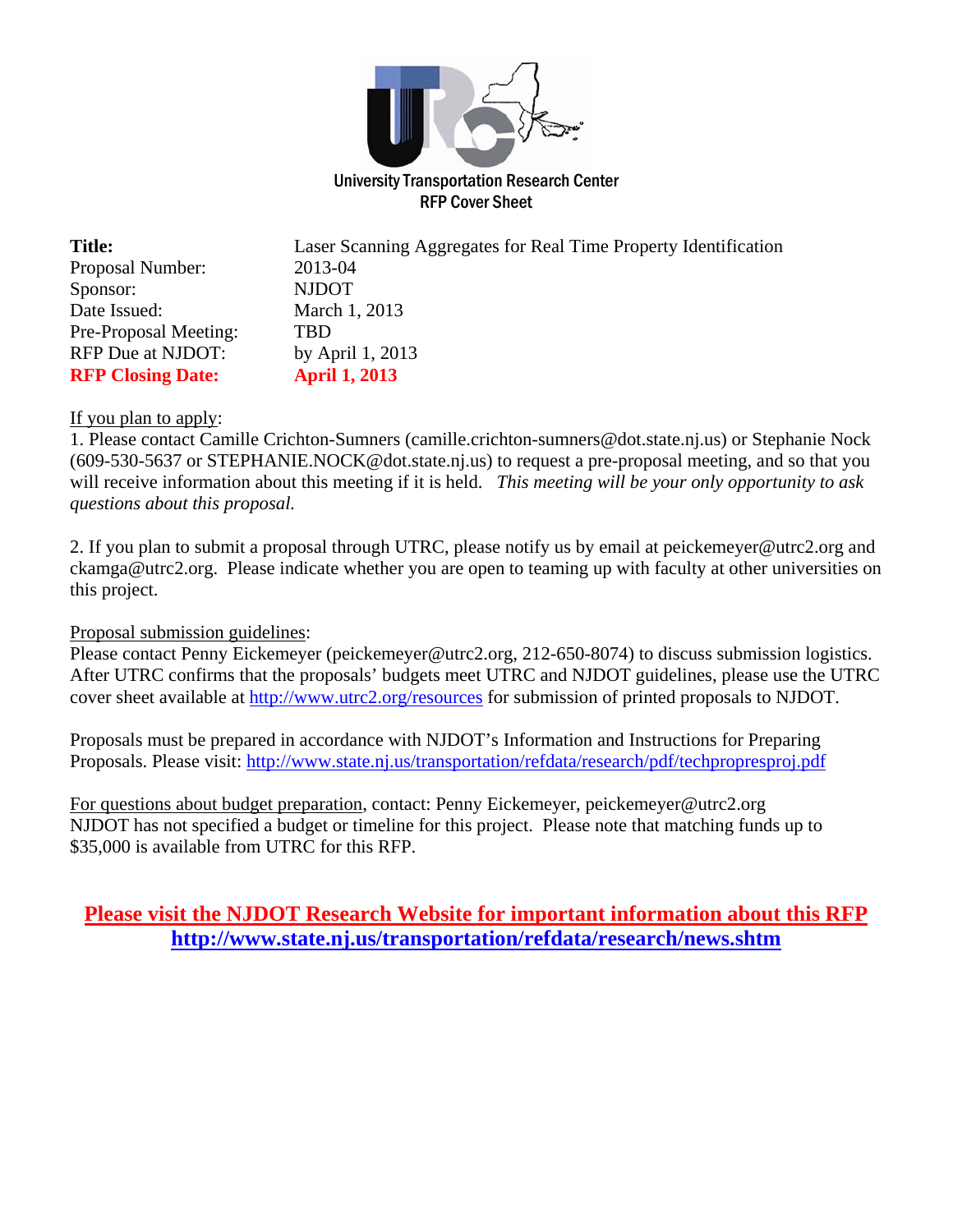

RFP Cover Sheet

| <b>Title:</b>            | Laser Scanning Aggregates for Real Time Property Identification |
|--------------------------|-----------------------------------------------------------------|
| Proposal Number:         | 2013-04                                                         |
| Sponsor:                 | <b>NJDOT</b>                                                    |
| Date Issued:             | March 1, 2013                                                   |
| Pre-Proposal Meeting:    | TBD                                                             |
| RFP Due at NJDOT:        | by April 1, 2013                                                |
| <b>RFP Closing Date:</b> | <b>April 1, 2013</b>                                            |

#### If you plan to apply:

1. Please contact Camille Crichton-Sumners (camille.crichton-sumners@dot.state.nj.us) or Stephanie Nock (609-530-5637 or STEPHANIE.NOCK@dot.state.nj.us) to request a pre-proposal meeting, and so that you will receive information about this meeting if it is held. *This meeting will be your only opportunity to ask questions about this proposal.*

2. If you plan to submit a proposal through UTRC, please notify us by email at peickemeyer@utrc2.org and ckamga@utrc2.org. Please indicate whether you are open to teaming up with faculty at other universities on this project.

## Proposal submission guidelines:

Please contact Penny Eickemeyer (peickemeyer@utrc2.org, 212-650-8074) to discuss submission logistics. After UTRC confirms that the proposals' budgets meet UTRC and NJDOT guidelines, please use the UTRC cover sheet available at http://www.utrc2.org/resources for submission of printed proposals to NJDOT.

Proposals must be prepared in accordance with NJDOT's Information and Instructions for Preparing Proposals. Please visit: http://www.state.nj.us/transportation/refdata/research/pdf/techpropresproj.pdf

For questions about budget preparation, contact: Penny Eickemeyer, peickemeyer@utrc2.org NJDOT has not specified a budget or timeline for this project. Please note that matching funds up to \$35,000 is available from UTRC for this RFP.

## **Please visit the NJDOT Research Website for important information about this RFP http://www.state.nj.us/transportation/refdata/research/news.shtm**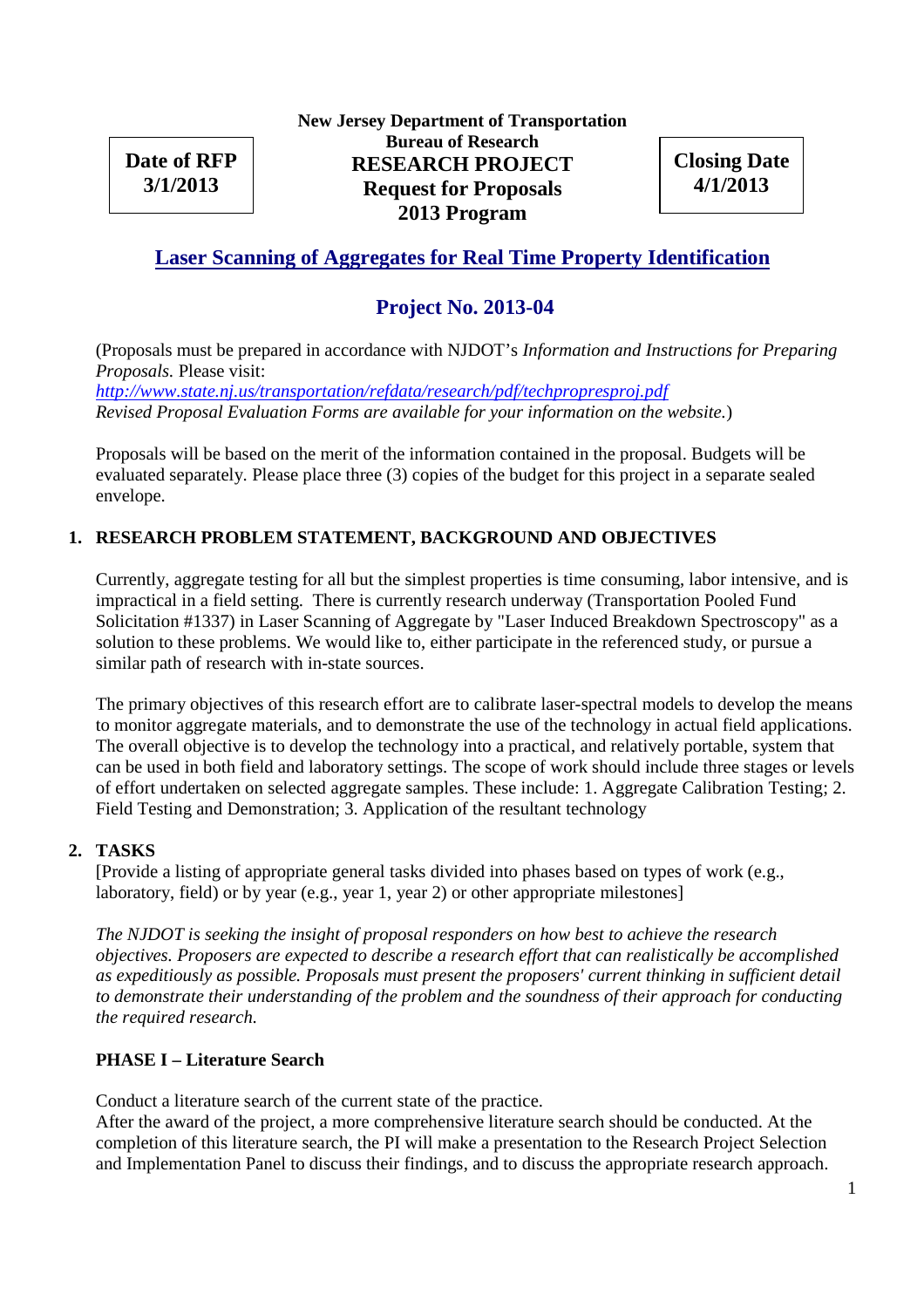**Date of RFP 3/1/2013**

**New Jersey Department of Transportation Bureau of Research RESEARCH PROJECT Request for Proposals 2013 Program**

**Closing Date 4/1/2013**

## **Laser Scanning of Aggregates for Real Time Property Identification**

## **Project No. 2013-04**

(Proposals must be prepared in accordance with NJDOT's *Information and Instructions for Preparing Proposals.* Please visit:

*http://www.state.nj.us/transportation/refdata/research/pdf/techpropresproj.pdf Revised Proposal Evaluation Forms are available for your information on the website.*)

Proposals will be based on the merit of the information contained in the proposal. Budgets will be evaluated separately. Please place three (3) copies of the budget for this project in a separate sealed envelope.

## **1. RESEARCH PROBLEM STATEMENT, BACKGROUND AND OBJECTIVES**

Currently, aggregate testing for all but the simplest properties is time consuming, labor intensive, and is impractical in a field setting. There is currently research underway (Transportation Pooled Fund Solicitation #1337) in Laser Scanning of Aggregate by "Laser Induced Breakdown Spectroscopy" as a solution to these problems. We would like to, either participate in the referenced study, or pursue a similar path of research with in-state sources.

The primary objectives of this research effort are to calibrate laser-spectral models to develop the means to monitor aggregate materials, and to demonstrate the use of the technology in actual field applications. The overall objective is to develop the technology into a practical, and relatively portable, system that can be used in both field and laboratory settings. The scope of work should include three stages or levels of effort undertaken on selected aggregate samples. These include: 1. Aggregate Calibration Testing; 2. Field Testing and Demonstration; 3. Application of the resultant technology

#### **2. TASKS**

[Provide a listing of appropriate general tasks divided into phases based on types of work (e.g., laboratory, field) or by year (e.g., year 1, year 2) or other appropriate milestones]

*The NJDOT is seeking the insight of proposal responders on how best to achieve the research objectives. Proposers are expected to describe a research effort that can realistically be accomplished as expeditiously as possible. Proposals must present the proposers' current thinking in sufficient detail to demonstrate their understanding of the problem and the soundness of their approach for conducting the required research.*

## **PHASE I – Literature Search**

Conduct a literature search of the current state of the practice.

After the award of the project, a more comprehensive literature search should be conducted. At the completion of this literature search, the PI will make a presentation to the Research Project Selection and Implementation Panel to discuss their findings, and to discuss the appropriate research approach.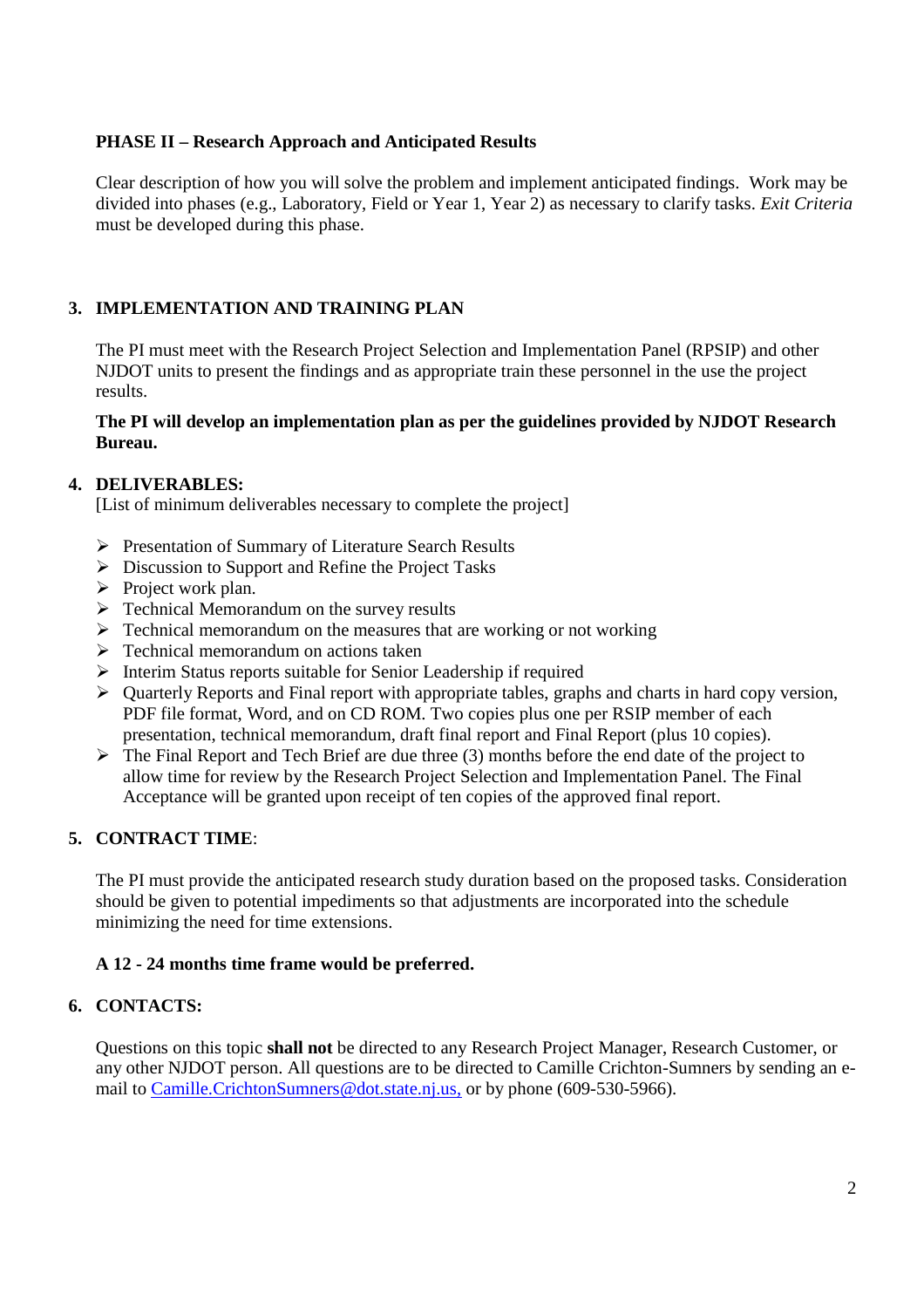### **PHASE II – Research Approach and Anticipated Results**

Clear description of how you will solve the problem and implement anticipated findings. Work may be divided into phases (e.g., Laboratory, Field or Year 1, Year 2) as necessary to clarify tasks. *Exit Criteria* must be developed during this phase.

## **3. IMPLEMENTATION AND TRAINING PLAN**

The PI must meet with the Research Project Selection and Implementation Panel (RPSIP) and other NJDOT units to present the findings and as appropriate train these personnel in the use the project results.

#### **The PI will develop an implementation plan as per the guidelines provided by NJDOT Research Bureau.**

#### **4. DELIVERABLES:**

[List of minimum deliverables necessary to complete the project]

- Presentation of Summary of Literature Search Results
- $\triangleright$  Discussion to Support and Refine the Project Tasks
- $\triangleright$  Project work plan.
- $\triangleright$  Technical Memorandum on the survey results
- $\triangleright$  Technical memorandum on the measures that are working or not working
- $\triangleright$  Technical memorandum on actions taken
- $\triangleright$  Interim Status reports suitable for Senior Leadership if required
- $\triangleright$  Quarterly Reports and Final report with appropriate tables, graphs and charts in hard copy version, PDF file format, Word, and on CD ROM. Two copies plus one per RSIP member of each presentation, technical memorandum, draft final report and Final Report (plus 10 copies).
- $\triangleright$  The Final Report and Tech Brief are due three (3) months before the end date of the project to allow time for review by the Research Project Selection and Implementation Panel. The Final Acceptance will be granted upon receipt of ten copies of the approved final report.

#### **5. CONTRACT TIME**:

The PI must provide the anticipated research study duration based on the proposed tasks. Consideration should be given to potential impediments so that adjustments are incorporated into the schedule minimizing the need for time extensions.

## **A 12 - 24 months time frame would be preferred.**

#### **6. CONTACTS:**

Questions on this topic **shall not** be directed to any Research Project Manager, Research Customer, or any other NJDOT person. All questions are to be directed to Camille Crichton-Sumners by sending an email to Camille.CrichtonSumners@dot.state.nj.us, or by phone (609-530-5966).